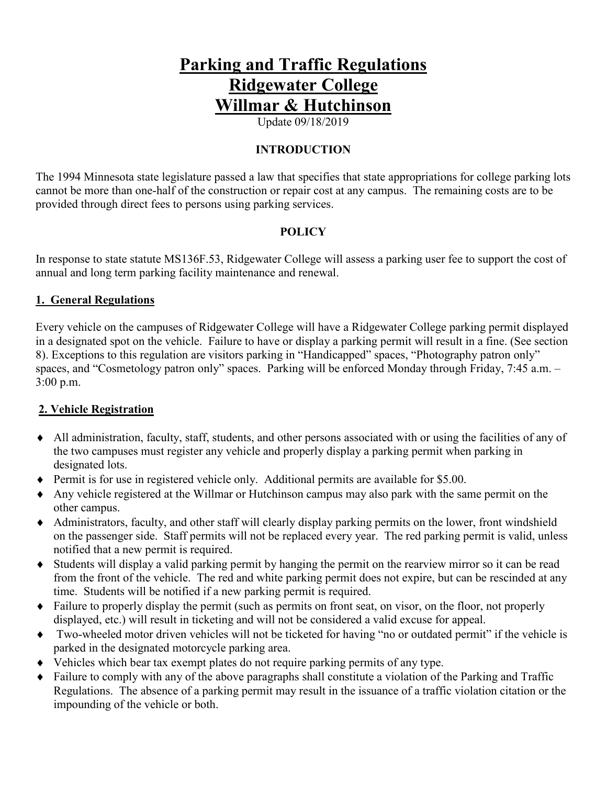# **Parking and Traffic Regulations Ridgewater College Willmar & Hutchinson**

Update 09/18/2019

#### **INTRODUCTION**

The 1994 Minnesota state legislature passed a law that specifies that state appropriations for college parking lots cannot be more than one-half of the construction or repair cost at any campus. The remaining costs are to be provided through direct fees to persons using parking services.

#### **POLICY**

In response to state statute MS136F.53, Ridgewater College will assess a parking user fee to support the cost of annual and long term parking facility maintenance and renewal.

#### **1. General Regulations**

Every vehicle on the campuses of Ridgewater College will have a Ridgewater College parking permit displayed in a designated spot on the vehicle. Failure to have or display a parking permit will result in a fine. (See section 8). Exceptions to this regulation are visitors parking in "Handicapped" spaces, "Photography patron only" spaces, and "Cosmetology patron only" spaces. Parking will be enforced Monday through Friday, 7:45 a.m. – 3:00 p.m.

#### **2. Vehicle Registration**

- ♦ All administration, faculty, staff, students, and other persons associated with or using the facilities of any of the two campuses must register any vehicle and properly display a parking permit when parking in designated lots.
- ♦ Permit is for use in registered vehicle only. Additional permits are available for \$5.00.
- ♦ Any vehicle registered at the Willmar or Hutchinson campus may also park with the same permit on the other campus.
- ♦ Administrators, faculty, and other staff will clearly display parking permits on the lower, front windshield on the passenger side. Staff permits will not be replaced every year. The red parking permit is valid, unless notified that a new permit is required.
- ♦ Students will display a valid parking permit by hanging the permit on the rearview mirror so it can be read from the front of the vehicle. The red and white parking permit does not expire, but can be rescinded at any time. Students will be notified if a new parking permit is required.
- ♦ Failure to properly display the permit (such as permits on front seat, on visor, on the floor, not properly displayed, etc.) will result in ticketing and will not be considered a valid excuse for appeal.
- ♦ Two-wheeled motor driven vehicles will not be ticketed for having "no or outdated permit" if the vehicle is parked in the designated motorcycle parking area.
- ♦ Vehicles which bear tax exempt plates do not require parking permits of any type.
- Failure to comply with any of the above paragraphs shall constitute a violation of the Parking and Traffic Regulations. The absence of a parking permit may result in the issuance of a traffic violation citation or the impounding of the vehicle or both.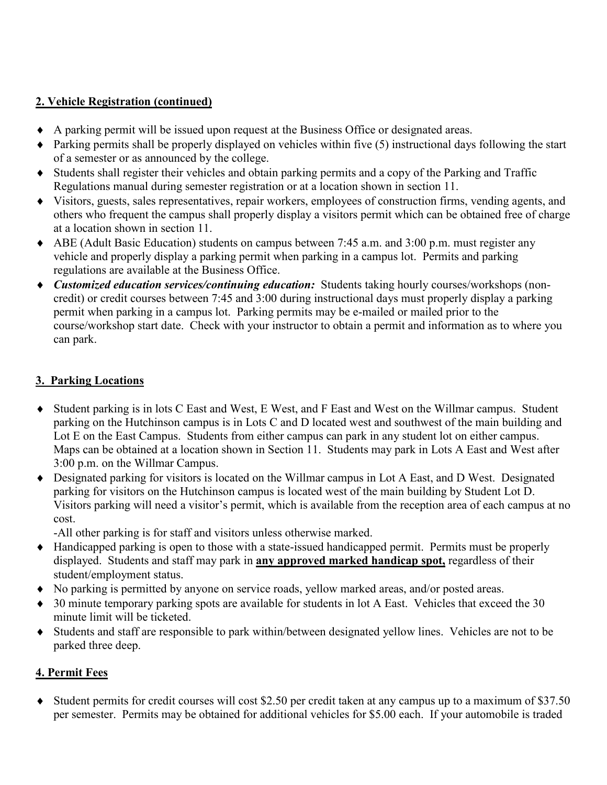## **2. Vehicle Registration (continued)**

- ♦ A parking permit will be issued upon request at the Business Office or designated areas.
- ♦ Parking permits shall be properly displayed on vehicles within five (5) instructional days following the start of a semester or as announced by the college.
- ♦ Students shall register their vehicles and obtain parking permits and a copy of the Parking and Traffic Regulations manual during semester registration or at a location shown in section 11.
- ♦ Visitors, guests, sales representatives, repair workers, employees of construction firms, vending agents, and others who frequent the campus shall properly display a visitors permit which can be obtained free of charge at a location shown in section 11.
- ♦ ABE (Adult Basic Education) students on campus between 7:45 a.m. and 3:00 p.m. must register any vehicle and properly display a parking permit when parking in a campus lot. Permits and parking regulations are available at the Business Office.
- ♦ *Customized education services/continuing education:* Students taking hourly courses/workshops (noncredit) or credit courses between 7:45 and 3:00 during instructional days must properly display a parking permit when parking in a campus lot. Parking permits may be e-mailed or mailed prior to the course/workshop start date. Check with your instructor to obtain a permit and information as to where you can park.

## **3. Parking Locations**

- ♦ Student parking is in lots C East and West, E West, and F East and West on the Willmar campus. Student parking on the Hutchinson campus is in Lots C and D located west and southwest of the main building and Lot E on the East Campus. Students from either campus can park in any student lot on either campus. Maps can be obtained at a location shown in Section 11. Students may park in Lots A East and West after 3:00 p.m. on the Willmar Campus.
- ♦ Designated parking for visitors is located on the Willmar campus in Lot A East, and D West. Designated parking for visitors on the Hutchinson campus is located west of the main building by Student Lot D. Visitors parking will need a visitor's permit, which is available from the reception area of each campus at no cost.

-All other parking is for staff and visitors unless otherwise marked.

- ♦ Handicapped parking is open to those with a state-issued handicapped permit. Permits must be properly displayed. Students and staff may park in **any approved marked handicap spot,** regardless of their student/employment status.
- ♦ No parking is permitted by anyone on service roads, yellow marked areas, and/or posted areas.
- ♦ 30 minute temporary parking spots are available for students in lot A East. Vehicles that exceed the 30 minute limit will be ticketed.
- ♦ Students and staff are responsible to park within/between designated yellow lines. Vehicles are not to be parked three deep.

# **4. Permit Fees**

♦ Student permits for credit courses will cost \$2.50 per credit taken at any campus up to a maximum of \$37.50 per semester. Permits may be obtained for additional vehicles for \$5.00 each. If your automobile is traded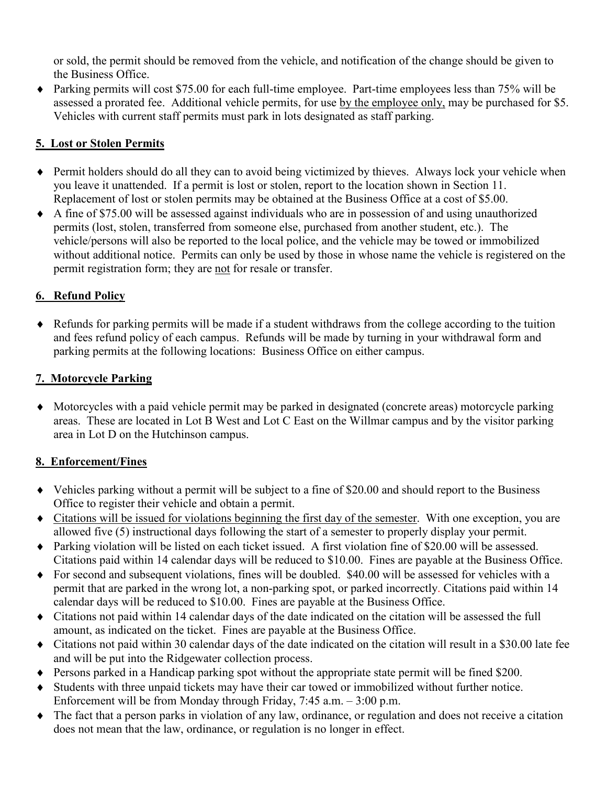or sold, the permit should be removed from the vehicle, and notification of the change should be given to the Business Office.

♦ Parking permits will cost \$75.00 for each full-time employee. Part-time employees less than 75% will be assessed a prorated fee. Additional vehicle permits, for use by the employee only, may be purchased for \$5. Vehicles with current staff permits must park in lots designated as staff parking.

## **5. Lost or Stolen Permits**

- ♦ Permit holders should do all they can to avoid being victimized by thieves. Always lock your vehicle when you leave it unattended. If a permit is lost or stolen, report to the location shown in Section 11. Replacement of lost or stolen permits may be obtained at the Business Office at a cost of \$5.00.
- ♦ A fine of \$75.00 will be assessed against individuals who are in possession of and using unauthorized permits (lost, stolen, transferred from someone else, purchased from another student, etc.). The vehicle/persons will also be reported to the local police, and the vehicle may be towed or immobilized without additional notice. Permits can only be used by those in whose name the vehicle is registered on the permit registration form; they are not for resale or transfer.

# **6. Refund Policy**

♦ Refunds for parking permits will be made if a student withdraws from the college according to the tuition and fees refund policy of each campus. Refunds will be made by turning in your withdrawal form and parking permits at the following locations: Business Office on either campus.

# **7. Motorcycle Parking**

♦ Motorcycles with a paid vehicle permit may be parked in designated (concrete areas) motorcycle parking areas. These are located in Lot B West and Lot C East on the Willmar campus and by the visitor parking area in Lot D on the Hutchinson campus.

# **8. Enforcement/Fines**

- ♦ Vehicles parking without a permit will be subject to a fine of \$20.00 and should report to the Business Office to register their vehicle and obtain a permit.
- ♦ Citations will be issued for violations beginning the first day of the semester. With one exception, you are allowed five (5) instructional days following the start of a semester to properly display your permit.
- ♦ Parking violation will be listed on each ticket issued. A first violation fine of \$20.00 will be assessed. Citations paid within 14 calendar days will be reduced to \$10.00. Fines are payable at the Business Office.
- ♦ For second and subsequent violations, fines will be doubled. \$40.00 will be assessed for vehicles with a permit that are parked in the wrong lot, a non-parking spot, or parked incorrectly. Citations paid within 14 calendar days will be reduced to \$10.00. Fines are payable at the Business Office.
- ♦ Citations not paid within 14 calendar days of the date indicated on the citation will be assessed the full amount, as indicated on the ticket. Fines are payable at the Business Office.
- ♦ Citations not paid within 30 calendar days of the date indicated on the citation will result in a \$30.00 late fee and will be put into the Ridgewater collection process.
- ♦ Persons parked in a Handicap parking spot without the appropriate state permit will be fined \$200.
- ♦ Students with three unpaid tickets may have their car towed or immobilized without further notice. Enforcement will be from Monday through Friday, 7:45 a.m. – 3:00 p.m.
- ♦ The fact that a person parks in violation of any law, ordinance, or regulation and does not receive a citation does not mean that the law, ordinance, or regulation is no longer in effect.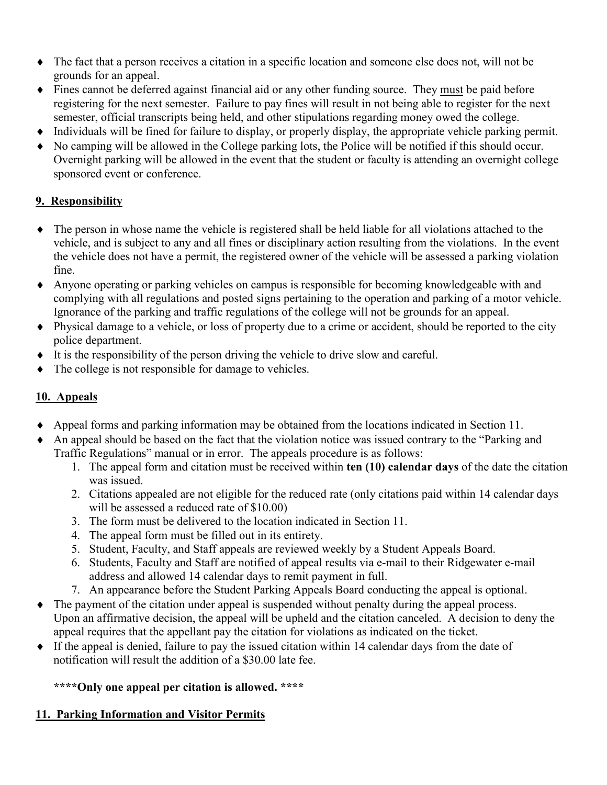- ♦ The fact that a person receives a citation in a specific location and someone else does not, will not be grounds for an appeal.
- ♦ Fines cannot be deferred against financial aid or any other funding source. They must be paid before registering for the next semester. Failure to pay fines will result in not being able to register for the next semester, official transcripts being held, and other stipulations regarding money owed the college.
- ♦ Individuals will be fined for failure to display, or properly display, the appropriate vehicle parking permit.
- No camping will be allowed in the College parking lots, the Police will be notified if this should occur. Overnight parking will be allowed in the event that the student or faculty is attending an overnight college sponsored event or conference.

# **9. Responsibility**

- ♦ The person in whose name the vehicle is registered shall be held liable for all violations attached to the vehicle, and is subject to any and all fines or disciplinary action resulting from the violations. In the event the vehicle does not have a permit, the registered owner of the vehicle will be assessed a parking violation fine.
- ♦ Anyone operating or parking vehicles on campus is responsible for becoming knowledgeable with and complying with all regulations and posted signs pertaining to the operation and parking of a motor vehicle. Ignorance of the parking and traffic regulations of the college will not be grounds for an appeal.
- ♦ Physical damage to a vehicle, or loss of property due to a crime or accident, should be reported to the city police department.
- ♦ It is the responsibility of the person driving the vehicle to drive slow and careful.
- The college is not responsible for damage to vehicles.

# **10. Appeals**

- ♦ Appeal forms and parking information may be obtained from the locations indicated in Section 11.
- An appeal should be based on the fact that the violation notice was issued contrary to the "Parking and" Traffic Regulations" manual or in error. The appeals procedure is as follows:
	- 1. The appeal form and citation must be received within **ten (10) calendar days** of the date the citation was issued.
	- 2. Citations appealed are not eligible for the reduced rate (only citations paid within 14 calendar days will be assessed a reduced rate of \$10.00)
	- 3. The form must be delivered to the location indicated in Section 11.
	- 4. The appeal form must be filled out in its entirety.
	- 5. Student, Faculty, and Staff appeals are reviewed weekly by a Student Appeals Board.
	- 6. Students, Faculty and Staff are notified of appeal results via e-mail to their Ridgewater e-mail address and allowed 14 calendar days to remit payment in full.
	- 7. An appearance before the Student Parking Appeals Board conducting the appeal is optional.
- ♦ The payment of the citation under appeal is suspended without penalty during the appeal process. Upon an affirmative decision, the appeal will be upheld and the citation canceled. A decision to deny the appeal requires that the appellant pay the citation for violations as indicated on the ticket.
- ♦ If the appeal is denied, failure to pay the issued citation within 14 calendar days from the date of notification will result the addition of a \$30.00 late fee.

**\*\*\*\*Only one appeal per citation is allowed. \*\*\*\***

## **11. Parking Information and Visitor Permits**